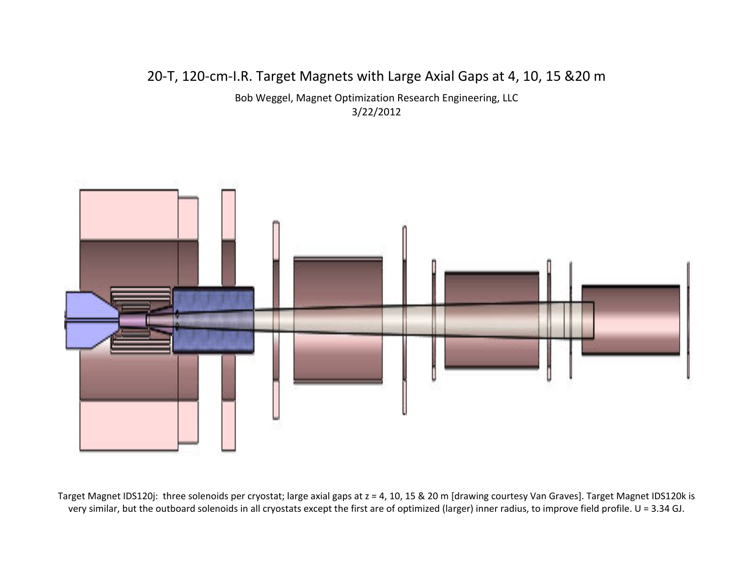## 20‐T, 120‐cm‐I.R. Target Magnets with Large Axial Gaps at 4, 10, 15 &20 <sup>m</sup>

Bob Weggel, Magnet Optimization Research Engineering, LLC 3/22/2012



Target Magnet IDS120j: three solenoids per cryostat; large axial gaps at <sup>z</sup> <sup>=</sup> 4, 10, 15 & 20 <sup>m</sup> [drawing courtesy Van Graves]. Target Magnet IDS120k is very similar, but the outboard solenoids in all cryostats except the first are of optimized (larger) inner radius, to improve field profile. U <sup>=</sup> 3.34 GJ.